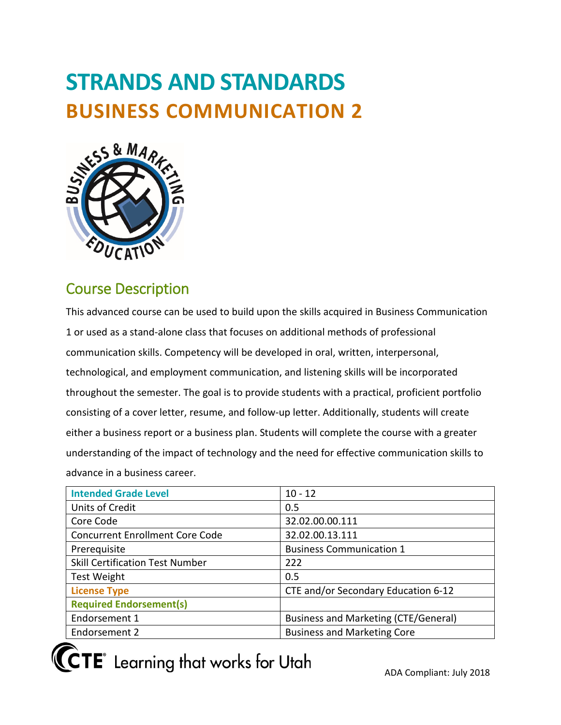# **STRANDS AND STANDARDS BUSINESS COMMUNICATION 2**



## Course Description

 advance in a business career. This advanced course can be used to build upon the skills acquired in Business Communication 1 or used as a stand-alone class that focuses on additional methods of professional communication skills. Competency will be developed in oral, written, interpersonal, technological, and employment communication, and listening skills will be incorporated throughout the semester. The goal is to provide students with a practical, proficient portfolio consisting of a cover letter, resume, and follow-up letter. Additionally, students will create either a business report or a business plan. Students will complete the course with a greater understanding of the impact of technology and the need for effective communication skills to

| <b>Intended Grade Level</b>            | $10 - 12$                            |
|----------------------------------------|--------------------------------------|
| Units of Credit                        | 0.5                                  |
| Core Code                              | 32.02.00.00.111                      |
| <b>Concurrent Enrollment Core Code</b> | 32.02.00.13.111                      |
| Prerequisite                           | <b>Business Communication 1</b>      |
| <b>Skill Certification Test Number</b> | 222                                  |
| <b>Test Weight</b>                     | 0.5                                  |
| <b>License Type</b>                    | CTE and/or Secondary Education 6-12  |
| <b>Required Endorsement(s)</b>         |                                      |
| Endorsement 1                          | Business and Marketing (CTE/General) |
| Endorsement 2                          | <b>Business and Marketing Core</b>   |

**(CTE** Learning that works for Utah

ADA Compliant: July 2018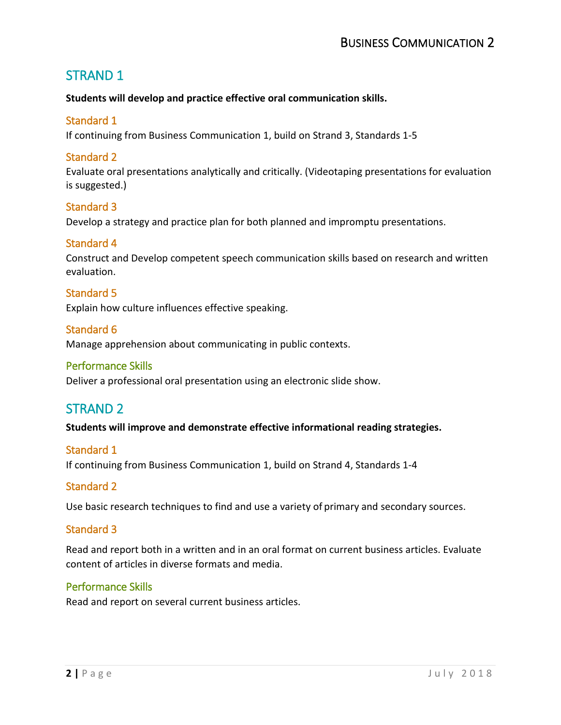## STRAND 1

#### **Students will develop and practice effective oral communication skills.**

#### Standard 1

If continuing from Business Communication 1, build on Strand 3, Standards 1-5

#### Standard 2

Evaluate oral presentations analytically and critically. (Videotaping presentations for evaluation is suggested.)

#### Standard 3

Develop a strategy and practice plan for both planned and impromptu presentations.

#### Standard 4

Construct and Develop competent speech communication skills based on research and written evaluation.

#### Standard 5

Explain how culture influences effective speaking.

#### Standard 6

Manage apprehension about communicating in public contexts.

#### Performance Skills

Deliver a professional oral presentation using an electronic slide show.

## STRAND 2

#### **Students will improve and demonstrate effective informational reading strategies.**

#### Standard 1

If continuing from Business Communication 1, build on Strand 4, Standards 1-4

#### Standard 2

Use basic research techniques to find and use a variety of primary and secondary sources.

#### Standard 3

 Read and report both in a written and in an oral format on current business articles. Evaluate content of articles in diverse formats and media.

#### Performance Skills

Read and report on several current business articles.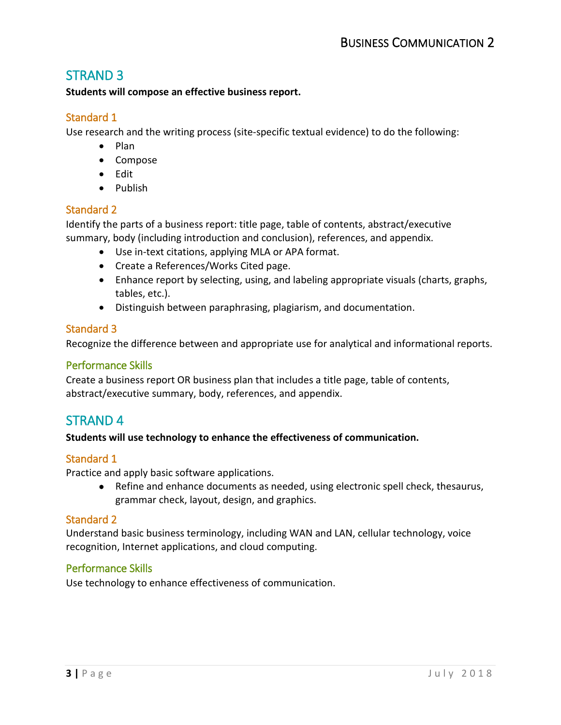## STRAND 3

#### **Students will compose an effective business report.**

#### Standard 1

Use research and the writing process (site-specific textual evidence) to do the following:

- Plan
- Compose
- Edit
- Publish

#### Standard 2

 Identify the parts of a business report: title page, table of contents, abstract/executive summary, body (including introduction and conclusion), references, and appendix.

- Use in-text citations, applying MLA or APA format.
- Create a References/Works Cited page.
- Enhance report by selecting, using, and labeling appropriate visuals (charts, graphs, tables, etc.).
- Distinguish between paraphrasing, plagiarism, and documentation.

#### Standard 3

Recognize the difference between and appropriate use for analytical and informational reports.

#### Performance Skills

 Create a business report OR business plan that includes a title page, table of contents, abstract/executive summary, body, references, and appendix.

## STRAND 4

#### **Students will use technology to enhance the effectiveness of communication.**

#### Standard 1

Practice and apply basic software applications.

 grammar check, layout, design, and graphics. • Refine and enhance documents as needed, using electronic spell check, thesaurus,

#### Standard 2

Understand basic business terminology, including WAN and LAN, cellular technology, voice recognition, Internet applications, and cloud computing.

#### Performance Skills

Use technology to enhance effectiveness of communication.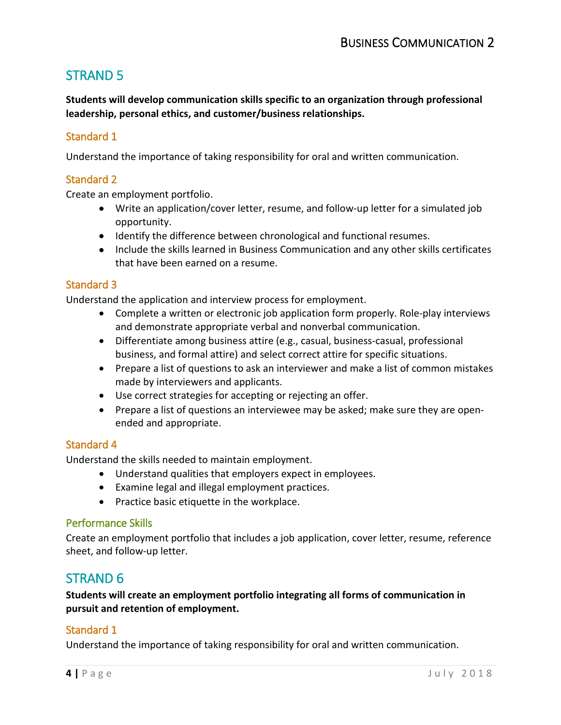## STRAND 5

 **Students will develop communication skills specific to an organization through professional leadership, personal ethics, and customer/business relationships.** 

#### Standard 1

Understand the importance of taking responsibility for oral and written communication.

#### Standard 2

Create an employment portfolio.

- Write an application/cover letter, resume, and follow-up letter for a simulated job opportunity.
- Identify the difference between chronological and functional resumes.
- Include the skills learned in Business Communication and any other skills certificates that have been earned on a resume.

#### Standard 3

Understand the application and interview process for employment.

- Complete a written or electronic job application form properly. Role-play interviews and demonstrate appropriate verbal and nonverbal communication.
- Differentiate among business attire (e.g., casual, business-casual, professional business, and formal attire) and select correct attire for specific situations.
- Prepare a list of questions to ask an interviewer and make a list of common mistakes made by interviewers and applicants.
- Use correct strategies for accepting or rejecting an offer.
- • Prepare a list of questions an interviewee may be asked; make sure they are openended and appropriate.

#### Standard 4

Understand the skills needed to maintain employment.

- Understand qualities that employers expect in employees.
- Examine legal and illegal employment practices.
- Practice basic etiquette in the workplace.

#### Performance Skills

 sheet, and follow-up letter. Create an employment portfolio that includes a job application, cover letter, resume, reference

## STRAND 6

 **Students will create an employment portfolio integrating all forms of communication in pursuit and retention of employment.** 

#### Standard 1

Understand the importance of taking responsibility for oral and written communication.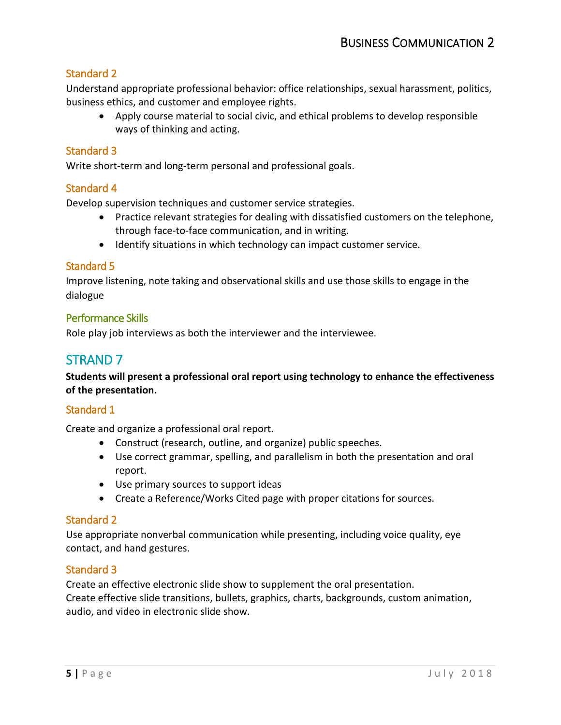#### Standard 2

 Understand appropriate professional behavior: office relationships, sexual harassment, politics, business ethics, and customer and employee rights.

• Apply course material to social civic, and ethical problems to develop responsible ways of thinking and acting.

#### Standard 3

Write short-term and long-term personal and professional goals.

#### Standard 4

Develop supervision techniques and customer service strategies.

- Practice relevant strategies for dealing with dissatisfied customers on the telephone, through face-to-face communication, and in writing.
- Identify situations in which technology can impact customer service.

#### Standard 5

 Improve listening, note taking and observational skills and use those skills to engage in the dialogue

#### Performance Skills

Role play job interviews as both the interviewer and the interviewee.

### STRAND 7

 **Students will present a professional oral report using technology to enhance the effectiveness of the presentation.** 

#### Standard 1

Create and organize a professional oral report.

- Construct (research, outline, and organize) public speeches.
- • Use correct grammar, spelling, and parallelism in both the presentation and oral report.
- Use primary sources to support ideas
- Create a Reference/Works Cited page with proper citations for sources.

#### Standard 2

Use appropriate nonverbal communication while presenting, including voice quality, eye contact, and hand gestures.

#### Standard 3

Create an effective electronic slide show to supplement the oral presentation. Create effective slide transitions, bullets, graphics, charts, backgrounds, custom animation, audio, and video in electronic slide show.